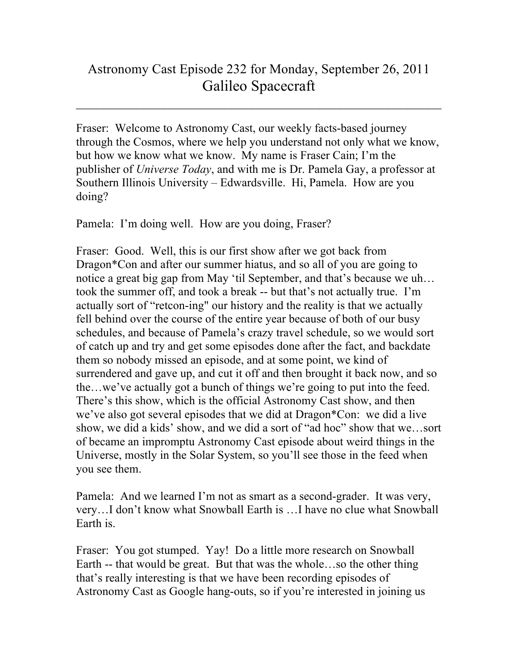## Astronomy Cast Episode 232 for Monday, September 26, 2011 Galileo Spacecraft

 $\mathcal{L}_\text{max}$  and  $\mathcal{L}_\text{max}$  and  $\mathcal{L}_\text{max}$  and  $\mathcal{L}_\text{max}$  and  $\mathcal{L}_\text{max}$  and  $\mathcal{L}_\text{max}$ 

Fraser: Welcome to Astronomy Cast, our weekly facts-based journey through the Cosmos, where we help you understand not only what we know, but how we know what we know. My name is Fraser Cain; I'm the publisher of *Universe Today*, and with me is Dr. Pamela Gay, a professor at Southern Illinois University – Edwardsville. Hi, Pamela. How are you doing?

Pamela: I'm doing well. How are you doing, Fraser?

Fraser: Good. Well, this is our first show after we got back from Dragon\*Con and after our summer hiatus, and so all of you are going to notice a great big gap from May 'til September, and that's because we uh… took the summer off, and took a break -- but that's not actually true. I'm actually sort of "retcon-ing" our history and the reality is that we actually fell behind over the course of the entire year because of both of our busy schedules, and because of Pamela's crazy travel schedule, so we would sort of catch up and try and get some episodes done after the fact, and backdate them so nobody missed an episode, and at some point, we kind of surrendered and gave up, and cut it off and then brought it back now, and so the…we've actually got a bunch of things we're going to put into the feed. There's this show, which is the official Astronomy Cast show, and then we've also got several episodes that we did at Dragon\*Con: we did a live show, we did a kids' show, and we did a sort of "ad hoc" show that we…sort of became an impromptu Astronomy Cast episode about weird things in the Universe, mostly in the Solar System, so you'll see those in the feed when you see them.

Pamela: And we learned I'm not as smart as a second-grader. It was very, very…I don't know what Snowball Earth is …I have no clue what Snowball Earth is.

Fraser: You got stumped. Yay! Do a little more research on Snowball Earth -- that would be great. But that was the whole…so the other thing that's really interesting is that we have been recording episodes of Astronomy Cast as Google hang-outs, so if you're interested in joining us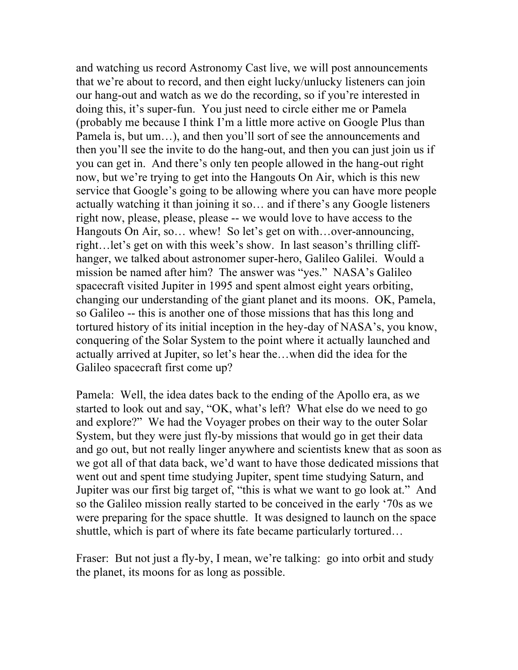and watching us record Astronomy Cast live, we will post announcements that we're about to record, and then eight lucky/unlucky listeners can join our hang-out and watch as we do the recording, so if you're interested in doing this, it's super-fun. You just need to circle either me or Pamela (probably me because I think I'm a little more active on Google Plus than Pamela is, but um…), and then you'll sort of see the announcements and then you'll see the invite to do the hang-out, and then you can just join us if you can get in. And there's only ten people allowed in the hang-out right now, but we're trying to get into the Hangouts On Air, which is this new service that Google's going to be allowing where you can have more people actually watching it than joining it so… and if there's any Google listeners right now, please, please, please -- we would love to have access to the Hangouts On Air, so... whew! So let's get on with...over-announcing, right…let's get on with this week's show. In last season's thrilling cliffhanger, we talked about astronomer super-hero, Galileo Galilei. Would a mission be named after him? The answer was "yes." NASA's Galileo spacecraft visited Jupiter in 1995 and spent almost eight years orbiting, changing our understanding of the giant planet and its moons. OK, Pamela, so Galileo -- this is another one of those missions that has this long and tortured history of its initial inception in the hey-day of NASA's, you know, conquering of the Solar System to the point where it actually launched and actually arrived at Jupiter, so let's hear the…when did the idea for the Galileo spacecraft first come up?

Pamela: Well, the idea dates back to the ending of the Apollo era, as we started to look out and say, "OK, what's left? What else do we need to go and explore?" We had the Voyager probes on their way to the outer Solar System, but they were just fly-by missions that would go in get their data and go out, but not really linger anywhere and scientists knew that as soon as we got all of that data back, we'd want to have those dedicated missions that went out and spent time studying Jupiter, spent time studying Saturn, and Jupiter was our first big target of, "this is what we want to go look at." And so the Galileo mission really started to be conceived in the early '70s as we were preparing for the space shuttle. It was designed to launch on the space shuttle, which is part of where its fate became particularly tortured…

Fraser: But not just a fly-by, I mean, we're talking: go into orbit and study the planet, its moons for as long as possible.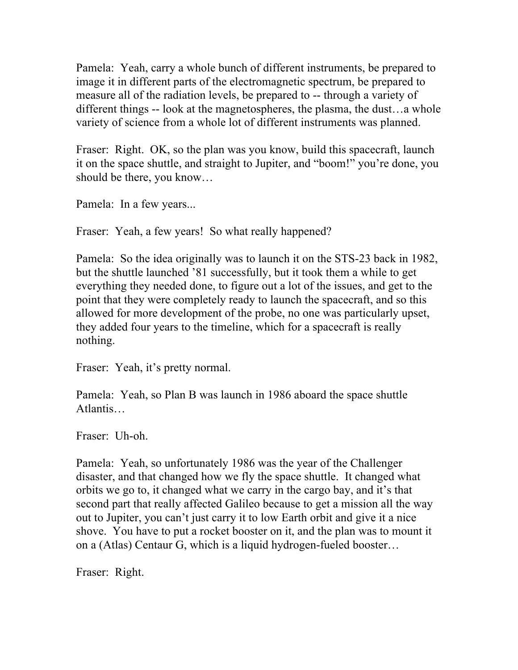Pamela: Yeah, carry a whole bunch of different instruments, be prepared to image it in different parts of the electromagnetic spectrum, be prepared to measure all of the radiation levels, be prepared to -- through a variety of different things -- look at the magnetospheres, the plasma, the dust…a whole variety of science from a whole lot of different instruments was planned.

Fraser: Right. OK, so the plan was you know, build this spacecraft, launch it on the space shuttle, and straight to Jupiter, and "boom!" you're done, you should be there, you know…

Pamela: In a few years...

Fraser: Yeah, a few years! So what really happened?

Pamela: So the idea originally was to launch it on the STS-23 back in 1982, but the shuttle launched '81 successfully, but it took them a while to get everything they needed done, to figure out a lot of the issues, and get to the point that they were completely ready to launch the spacecraft, and so this allowed for more development of the probe, no one was particularly upset, they added four years to the timeline, which for a spacecraft is really nothing.

Fraser: Yeah, it's pretty normal.

Pamela: Yeah, so Plan B was launch in 1986 aboard the space shuttle Atlantis…

Fraser: Uh-oh.

Pamela: Yeah, so unfortunately 1986 was the year of the Challenger disaster, and that changed how we fly the space shuttle. It changed what orbits we go to, it changed what we carry in the cargo bay, and it's that second part that really affected Galileo because to get a mission all the way out to Jupiter, you can't just carry it to low Earth orbit and give it a nice shove. You have to put a rocket booster on it, and the plan was to mount it on a (Atlas) Centaur G, which is a liquid hydrogen-fueled booster…

Fraser: Right.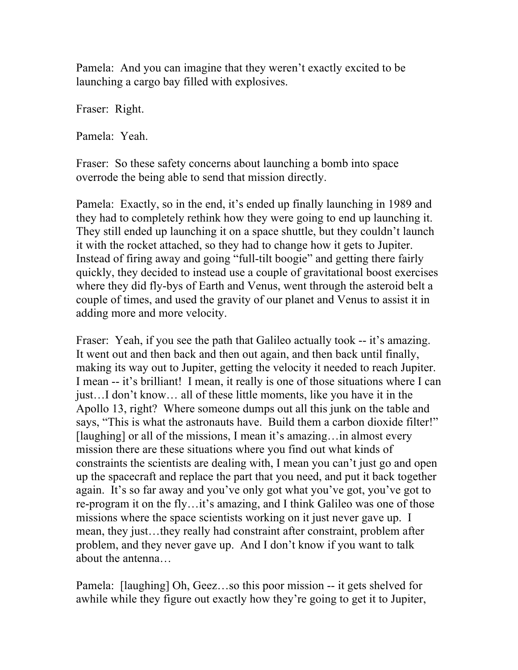Pamela: And you can imagine that they weren't exactly excited to be launching a cargo bay filled with explosives.

Fraser: Right.

Pamela: Yeah.

Fraser: So these safety concerns about launching a bomb into space overrode the being able to send that mission directly.

Pamela: Exactly, so in the end, it's ended up finally launching in 1989 and they had to completely rethink how they were going to end up launching it. They still ended up launching it on a space shuttle, but they couldn't launch it with the rocket attached, so they had to change how it gets to Jupiter. Instead of firing away and going "full-tilt boogie" and getting there fairly quickly, they decided to instead use a couple of gravitational boost exercises where they did fly-bys of Earth and Venus, went through the asteroid belt a couple of times, and used the gravity of our planet and Venus to assist it in adding more and more velocity.

Fraser: Yeah, if you see the path that Galileo actually took -- it's amazing. It went out and then back and then out again, and then back until finally, making its way out to Jupiter, getting the velocity it needed to reach Jupiter. I mean -- it's brilliant! I mean, it really is one of those situations where I can just…I don't know… all of these little moments, like you have it in the Apollo 13, right? Where someone dumps out all this junk on the table and says, "This is what the astronauts have. Build them a carbon dioxide filter!" [laughing] or all of the missions, I mean it's amazing…in almost every mission there are these situations where you find out what kinds of constraints the scientists are dealing with, I mean you can't just go and open up the spacecraft and replace the part that you need, and put it back together again. It's so far away and you've only got what you've got, you've got to re-program it on the fly…it's amazing, and I think Galileo was one of those missions where the space scientists working on it just never gave up. I mean, they just…they really had constraint after constraint, problem after problem, and they never gave up. And I don't know if you want to talk about the antenna…

Pamela: [laughing] Oh, Geez…so this poor mission -- it gets shelved for awhile while they figure out exactly how they're going to get it to Jupiter,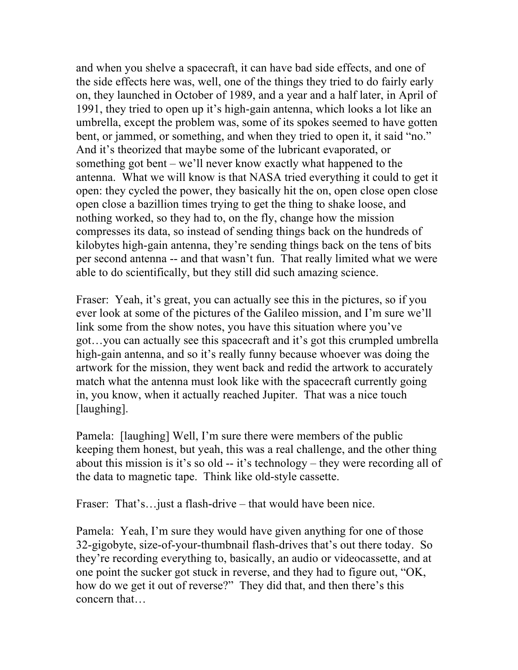and when you shelve a spacecraft, it can have bad side effects, and one of the side effects here was, well, one of the things they tried to do fairly early on, they launched in October of 1989, and a year and a half later, in April of 1991, they tried to open up it's high-gain antenna, which looks a lot like an umbrella, except the problem was, some of its spokes seemed to have gotten bent, or jammed, or something, and when they tried to open it, it said "no." And it's theorized that maybe some of the lubricant evaporated, or something got bent – we'll never know exactly what happened to the antenna. What we will know is that NASA tried everything it could to get it open: they cycled the power, they basically hit the on, open close open close open close a bazillion times trying to get the thing to shake loose, and nothing worked, so they had to, on the fly, change how the mission compresses its data, so instead of sending things back on the hundreds of kilobytes high-gain antenna, they're sending things back on the tens of bits per second antenna -- and that wasn't fun. That really limited what we were able to do scientifically, but they still did such amazing science.

Fraser: Yeah, it's great, you can actually see this in the pictures, so if you ever look at some of the pictures of the Galileo mission, and I'm sure we'll link some from the show notes, you have this situation where you've got…you can actually see this spacecraft and it's got this crumpled umbrella high-gain antenna, and so it's really funny because whoever was doing the artwork for the mission, they went back and redid the artwork to accurately match what the antenna must look like with the spacecraft currently going in, you know, when it actually reached Jupiter. That was a nice touch [laughing].

Pamela: [laughing] Well, I'm sure there were members of the public keeping them honest, but yeah, this was a real challenge, and the other thing about this mission is it's so old -- it's technology – they were recording all of the data to magnetic tape. Think like old-style cassette.

Fraser: That's... just a flash-drive – that would have been nice.

Pamela: Yeah, I'm sure they would have given anything for one of those 32-gigobyte, size-of-your-thumbnail flash-drives that's out there today. So they're recording everything to, basically, an audio or videocassette, and at one point the sucker got stuck in reverse, and they had to figure out, "OK, how do we get it out of reverse?" They did that, and then there's this concern that…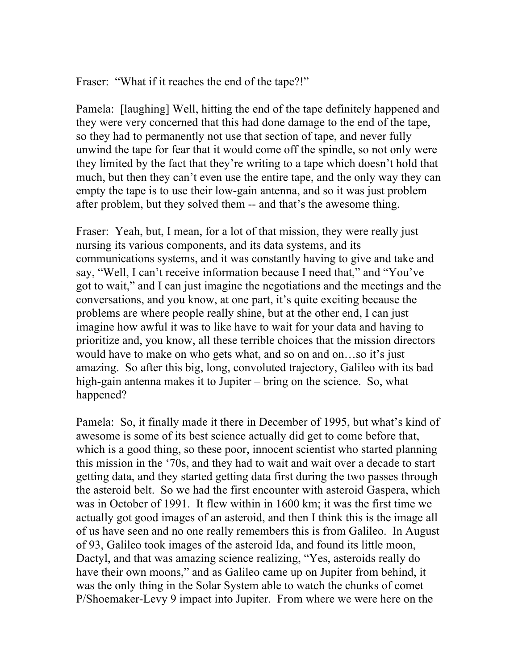Fraser: "What if it reaches the end of the tape?!"

Pamela: [laughing] Well, hitting the end of the tape definitely happened and they were very concerned that this had done damage to the end of the tape, so they had to permanently not use that section of tape, and never fully unwind the tape for fear that it would come off the spindle, so not only were they limited by the fact that they're writing to a tape which doesn't hold that much, but then they can't even use the entire tape, and the only way they can empty the tape is to use their low-gain antenna, and so it was just problem after problem, but they solved them -- and that's the awesome thing.

Fraser: Yeah, but, I mean, for a lot of that mission, they were really just nursing its various components, and its data systems, and its communications systems, and it was constantly having to give and take and say, "Well, I can't receive information because I need that," and "You've got to wait," and I can just imagine the negotiations and the meetings and the conversations, and you know, at one part, it's quite exciting because the problems are where people really shine, but at the other end, I can just imagine how awful it was to like have to wait for your data and having to prioritize and, you know, all these terrible choices that the mission directors would have to make on who gets what, and so on and on…so it's just amazing. So after this big, long, convoluted trajectory, Galileo with its bad high-gain antenna makes it to Jupiter – bring on the science. So, what happened?

Pamela: So, it finally made it there in December of 1995, but what's kind of awesome is some of its best science actually did get to come before that, which is a good thing, so these poor, innocent scientist who started planning this mission in the '70s, and they had to wait and wait over a decade to start getting data, and they started getting data first during the two passes through the asteroid belt. So we had the first encounter with asteroid Gaspera, which was in October of 1991. It flew within in 1600 km; it was the first time we actually got good images of an asteroid, and then I think this is the image all of us have seen and no one really remembers this is from Galileo. In August of 93, Galileo took images of the asteroid Ida, and found its little moon, Dactyl, and that was amazing science realizing, "Yes, asteroids really do have their own moons," and as Galileo came up on Jupiter from behind, it was the only thing in the Solar System able to watch the chunks of comet P/Shoemaker-Levy 9 impact into Jupiter. From where we were here on the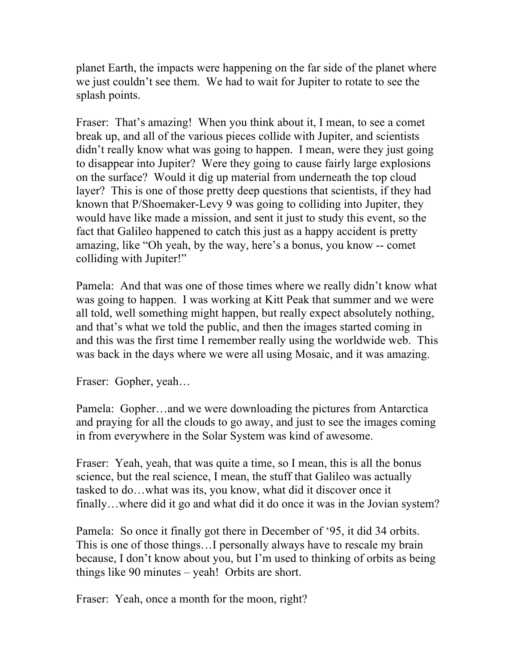planet Earth, the impacts were happening on the far side of the planet where we just couldn't see them. We had to wait for Jupiter to rotate to see the splash points.

Fraser: That's amazing! When you think about it, I mean, to see a comet break up, and all of the various pieces collide with Jupiter, and scientists didn't really know what was going to happen. I mean, were they just going to disappear into Jupiter? Were they going to cause fairly large explosions on the surface? Would it dig up material from underneath the top cloud layer? This is one of those pretty deep questions that scientists, if they had known that P/Shoemaker-Levy 9 was going to colliding into Jupiter, they would have like made a mission, and sent it just to study this event, so the fact that Galileo happened to catch this just as a happy accident is pretty amazing, like "Oh yeah, by the way, here's a bonus, you know -- comet colliding with Jupiter!"

Pamela: And that was one of those times where we really didn't know what was going to happen. I was working at Kitt Peak that summer and we were all told, well something might happen, but really expect absolutely nothing, and that's what we told the public, and then the images started coming in and this was the first time I remember really using the worldwide web. This was back in the days where we were all using Mosaic, and it was amazing.

Fraser: Gopher, yeah…

Pamela: Gopher…and we were downloading the pictures from Antarctica and praying for all the clouds to go away, and just to see the images coming in from everywhere in the Solar System was kind of awesome.

Fraser: Yeah, yeah, that was quite a time, so I mean, this is all the bonus science, but the real science, I mean, the stuff that Galileo was actually tasked to do…what was its, you know, what did it discover once it finally…where did it go and what did it do once it was in the Jovian system?

Pamela: So once it finally got there in December of '95, it did 34 orbits. This is one of those things…I personally always have to rescale my brain because, I don't know about you, but I'm used to thinking of orbits as being things like 90 minutes – yeah! Orbits are short.

Fraser: Yeah, once a month for the moon, right?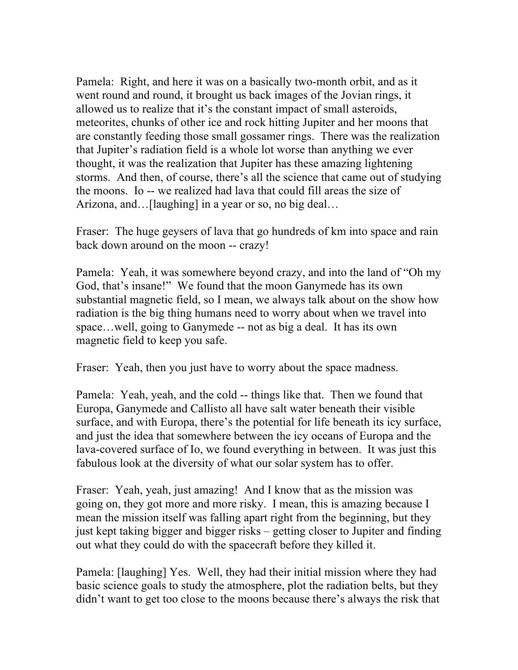Pamela: Right, and here it was on a basically two-month orbit, and as it went round and round, it brought us back images of the Jovian rings, it allowed us to realize that it's the constant impact of small asteroids, meteorites, chunks of other ice and rock hitting Jupiter and her moons that are constantly feeding those small gossamer rings. There was the realization that Jupiter's radiation field is a whole lot worse than anything we ever thought, it was the realization that Jupiter has these amazing lightening storms. And then, of course, there's all the science that came out of studying the moons. Io -- we realized had lava that could fill areas the size of Arizona, and…[laughing] in a year or so, no big deal…

Fraser: The huge geysers of lava that go hundreds of km into space and rain back down around on the moon -- crazy!

Pamela: Yeah, it was somewhere beyond crazy, and into the land of "Oh my God, that's insane!" We found that the moon Ganymede has its own substantial magnetic field, so I mean, we always talk about on the show how radiation is the big thing humans need to worry about when we travel into space…well, going to Ganymede -- not as big a deal. It has its own magnetic field to keep you safe.

Fraser: Yeah, then you just have to worry about the space madness.

Pamela: Yeah, yeah, and the cold -- things like that. Then we found that Europa, Ganymede and Callisto all have salt water beneath their visible surface, and with Europa, there's the potential for life beneath its icy surface, and just the idea that somewhere between the icy oceans of Europa and the lava-covered surface of Io, we found everything in between. It was just this fabulous look at the diversity of what our solar system has to offer.

Fraser: Yeah, yeah, just amazing! And I know that as the mission was going on, they got more and more risky. I mean, this is amazing because I mean the mission itself was falling apart right from the beginning, but they just kept taking bigger and bigger risks – getting closer to Jupiter and finding out what they could do with the spacecraft before they killed it.

Pamela: [laughing] Yes. Well, they had their initial mission where they had basic science goals to study the atmosphere, plot the radiation belts, but they didn't want to get too close to the moons because there's always the risk that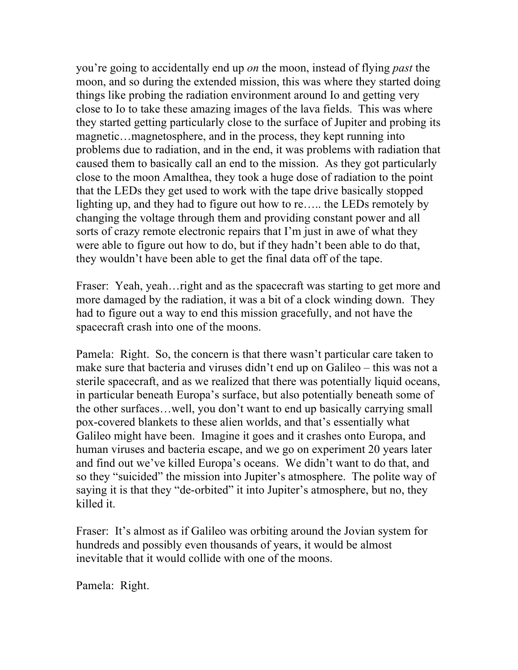you're going to accidentally end up *on* the moon, instead of flying *past* the moon, and so during the extended mission, this was where they started doing things like probing the radiation environment around Io and getting very close to Io to take these amazing images of the lava fields. This was where they started getting particularly close to the surface of Jupiter and probing its magnetic…magnetosphere, and in the process, they kept running into problems due to radiation, and in the end, it was problems with radiation that caused them to basically call an end to the mission. As they got particularly close to the moon Amalthea, they took a huge dose of radiation to the point that the LEDs they get used to work with the tape drive basically stopped lighting up, and they had to figure out how to re….. the LEDs remotely by changing the voltage through them and providing constant power and all sorts of crazy remote electronic repairs that I'm just in awe of what they were able to figure out how to do, but if they hadn't been able to do that, they wouldn't have been able to get the final data off of the tape.

Fraser: Yeah, yeah... right and as the spacecraft was starting to get more and more damaged by the radiation, it was a bit of a clock winding down. They had to figure out a way to end this mission gracefully, and not have the spacecraft crash into one of the moons.

Pamela: Right. So, the concern is that there wasn't particular care taken to make sure that bacteria and viruses didn't end up on Galileo – this was not a sterile spacecraft, and as we realized that there was potentially liquid oceans, in particular beneath Europa's surface, but also potentially beneath some of the other surfaces…well, you don't want to end up basically carrying small pox-covered blankets to these alien worlds, and that's essentially what Galileo might have been. Imagine it goes and it crashes onto Europa, and human viruses and bacteria escape, and we go on experiment 20 years later and find out we've killed Europa's oceans. We didn't want to do that, and so they "suicided" the mission into Jupiter's atmosphere. The polite way of saying it is that they "de-orbited" it into Jupiter's atmosphere, but no, they killed it.

Fraser: It's almost as if Galileo was orbiting around the Jovian system for hundreds and possibly even thousands of years, it would be almost inevitable that it would collide with one of the moons.

Pamela: Right.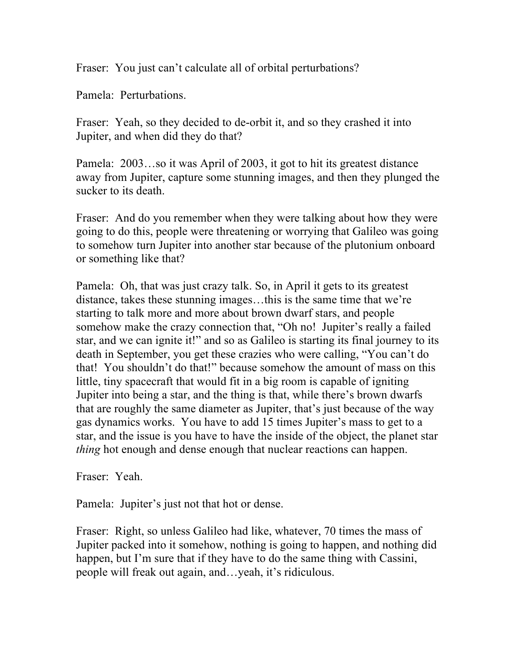Fraser: You just can't calculate all of orbital perturbations?

Pamela: Perturbations.

Fraser: Yeah, so they decided to de-orbit it, and so they crashed it into Jupiter, and when did they do that?

Pamela: 2003…so it was April of 2003, it got to hit its greatest distance away from Jupiter, capture some stunning images, and then they plunged the sucker to its death.

Fraser: And do you remember when they were talking about how they were going to do this, people were threatening or worrying that Galileo was going to somehow turn Jupiter into another star because of the plutonium onboard or something like that?

Pamela: Oh, that was just crazy talk. So, in April it gets to its greatest distance, takes these stunning images…this is the same time that we're starting to talk more and more about brown dwarf stars, and people somehow make the crazy connection that, "Oh no! Jupiter's really a failed star, and we can ignite it!" and so as Galileo is starting its final journey to its death in September, you get these crazies who were calling, "You can't do that! You shouldn't do that!" because somehow the amount of mass on this little, tiny spacecraft that would fit in a big room is capable of igniting Jupiter into being a star, and the thing is that, while there's brown dwarfs that are roughly the same diameter as Jupiter, that's just because of the way gas dynamics works. You have to add 15 times Jupiter's mass to get to a star, and the issue is you have to have the inside of the object, the planet star *thing* hot enough and dense enough that nuclear reactions can happen.

Fraser: Yeah.

Pamela: Jupiter's just not that hot or dense.

Fraser: Right, so unless Galileo had like, whatever, 70 times the mass of Jupiter packed into it somehow, nothing is going to happen, and nothing did happen, but I'm sure that if they have to do the same thing with Cassini, people will freak out again, and…yeah, it's ridiculous.